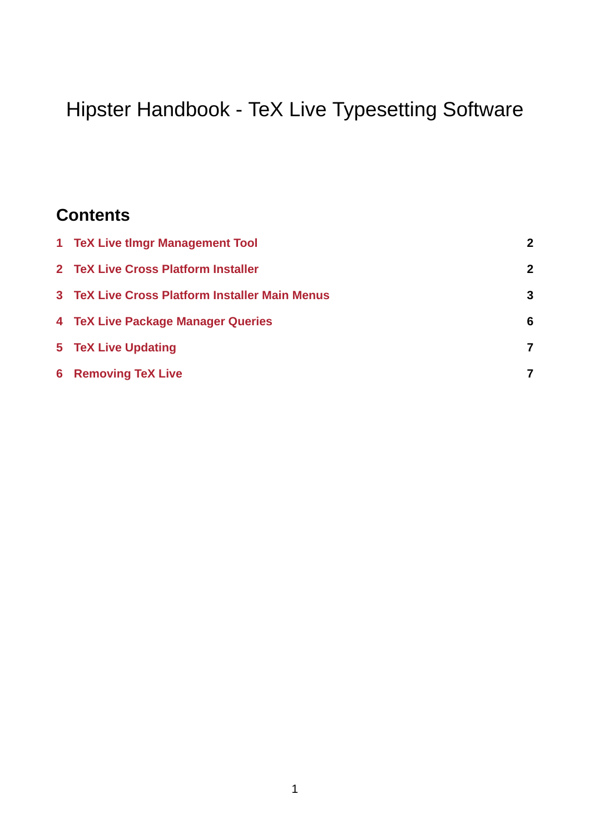# Hipster Handbook - TeX Live Typesetting Software

# **Contents**

| 1 TeX Live timgr Management Tool               | $\mathbf{z}$ |
|------------------------------------------------|--------------|
| 2 TeX Live Cross Platform Installer            | $\mathbf{2}$ |
| 3 TeX Live Cross Platform Installer Main Menus | 3            |
| 4 TeX Live Package Manager Queries             | 6            |
| 5 TeX Live Updating                            | 7            |
| <b>6 Removing TeX Live</b>                     | 7            |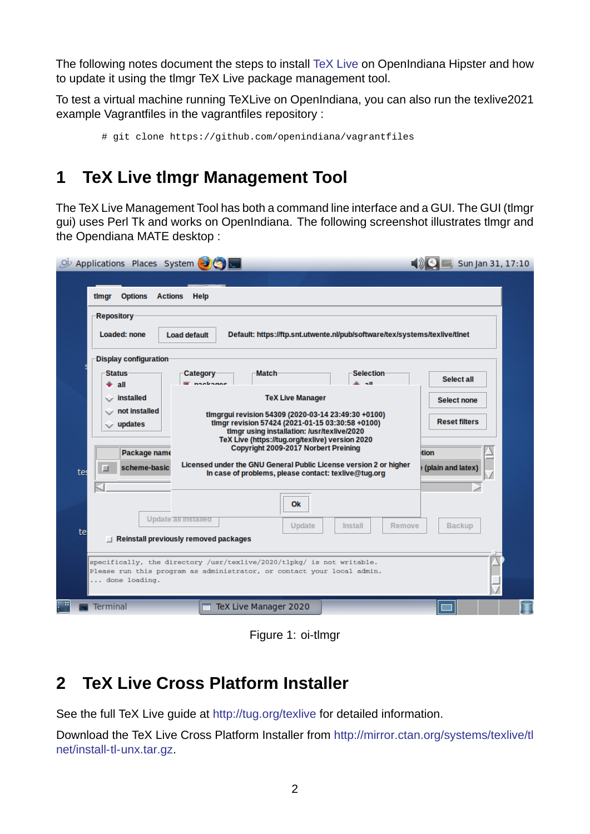The following notes document the steps to install TeX Live on OpenIndiana Hipster and how to update it using the tlmgr TeX Live package management tool.

To test a virtual machine running TeXLive on OpenIndiana, you can also run the texlive2021 example Vagrantfiles in the vagrantfiles repositor[y :](http://tug.org/texlive)

```
# git clone https://github.com/openindiana/vagrantfiles
```
## **1 TeX Live tlmgr Management Tool**

<span id="page-1-0"></span>The TeX Live Management Tool has both a command line interface and a GUI. The GUI (tlmgr gui) uses Perl Tk and works on OpenIndiana. The following screenshot illustrates tlmgr and the Opendiana MATE desktop :

| Applications Places System                                                                                                                                                                                                                                              | Sun Jan 31, 17:10                          |  |  |  |
|-------------------------------------------------------------------------------------------------------------------------------------------------------------------------------------------------------------------------------------------------------------------------|--------------------------------------------|--|--|--|
| <b>Options</b><br><b>Actions</b><br>Help<br>timgr                                                                                                                                                                                                                       |                                            |  |  |  |
| <b>Repository</b><br><b>Loaded: none</b><br>Default: https://ftp.snt.utwente.nl/pub/software/tex/systems/texlive/tlnet<br><b>Load default</b>                                                                                                                           |                                            |  |  |  |
| <b>Display configuration</b><br><b>Selection</b><br><b>Status</b><br><b>Match</b><br><b>Category</b><br>nankarine<br>all<br>۰                                                                                                                                           | Select all                                 |  |  |  |
| <b>TeX Live Manager</b><br>$\sqrt{\ }$ installed<br>$\circ$ not installed<br>timgrgui revision 54309 (2020-03-14 23:49:30 +0100)<br>timgr revision 57424 (2021-01-15 03:30:58 +0100)<br>$\circ$ updates<br>timgr using installation: /usr/texlive/2020                  | <b>Select none</b><br><b>Reset filters</b> |  |  |  |
| TeX Live (https://tug.org/texlive) version 2020<br><b>Copyright 2009-2017 Norbert Preining</b><br>Package name<br>Licensed under the GNU General Public License version 2 or higher<br>scheme-basic<br>■<br>tes<br>In case of problems, please contact: texlive@tuq.org | tion<br>(plain and latex)                  |  |  |  |
| Ok<br>Update all installed<br>Update<br>Install<br>Remove                                                                                                                                                                                                               | <b>Backup</b>                              |  |  |  |
| te<br>$\Box$ Reinstall previously removed packages                                                                                                                                                                                                                      |                                            |  |  |  |
| specifically, the directory /usr/texlive/2020/tlpkg/ is not writable.<br>Please run this program as administrator, or contact your local admin.<br>done loading.                                                                                                        |                                            |  |  |  |
| <b>Terminal</b><br>TeX Live Manager 2020                                                                                                                                                                                                                                |                                            |  |  |  |

Figure 1: oi-timgr

# **2 TeX Live Cross Platform Installer**

<span id="page-1-1"></span>See the full TeX Live guide at http://tug.org/texlive for detailed information.

Download the TeX Live Cross Platform Installer from http://mirror.ctan.org/systems/texlive/tl net/install-tl-unx.tar.gz.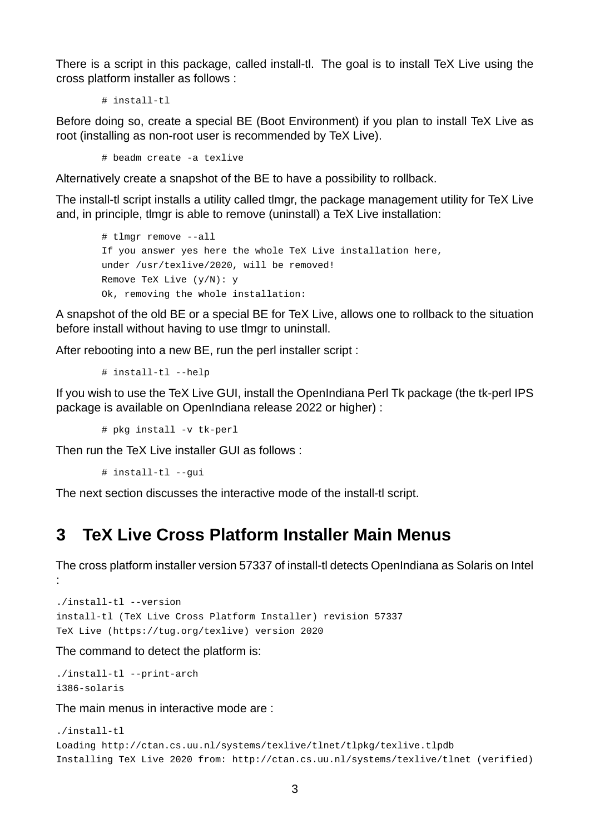There is a script in this package, called install-tl. The goal is to install TeX Live using the cross platform installer as follows :

```
# install-tl
```
Before doing so, create a special BE (Boot Environment) if you plan to install TeX Live as root (installing as non-root user is recommended by TeX Live).

# beadm create -a texlive

Alternatively create a snapshot of the BE to have a possibility to rollback.

The install-tl script installs a utility called tlmgr, the package management utility for TeX Live and, in principle, tlmgr is able to remove (uninstall) a TeX Live installation:

```
# tlmgr remove --all
If you answer yes here the whole TeX Live installation here,
under /usr/texlive/2020, will be removed!
Remove TeX Live (y/N): y
Ok, removing the whole installation:
```
A snapshot of the old BE or a special BE for TeX Live, allows one to rollback to the situation before install without having to use tlmgr to uninstall.

After rebooting into a new BE, run the perl installer script :

 $#$  install-tl --help

If you wish to use the TeX Live GUI, install the OpenIndiana Perl Tk package (the tk-perl IPS package is available on OpenIndiana release 2022 or higher) :

 $#$  pkg install -v tk-perl

Then run the TeX Live installer GUI as follows :

```
# install-tl --gui
```
The next section discusses the interactive mode of the install-tl script.

## <span id="page-2-0"></span>**3 TeX Live Cross Platform Installer Main Menus**

The cross platform installer version 57337 of install-tl detects OpenIndiana as Solaris on Intel :

```
./install-tl --version
install-tl (TeX Live Cross Platform Installer) revision 57337
TeX Live (https://tug.org/texlive) version 2020
```
The command to detect the platform is:

```
./install-tl --print-arch
i386-solaris
```
The main menus in interactive mode are :

```
./install-tlLoading http://ctan.cs.uu.nl/systems/texlive/tlnet/tlpkg/texlive.tlpdb
Installing TeX Live 2020 from: http://ctan.cs.uu.nl/systems/texlive/tlnet (verified)
```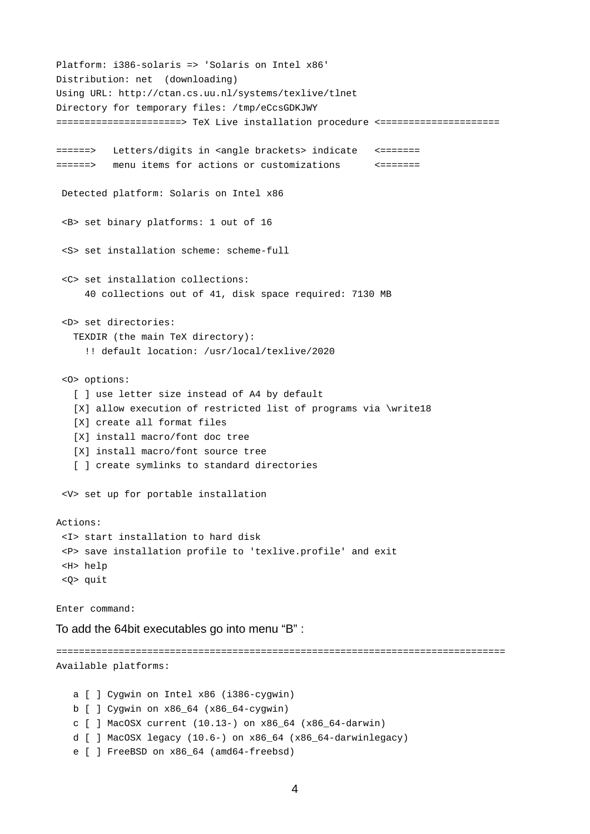Platform: i386-solaris => 'Solaris on Intel x86' Distribution: net (downloading) Using URL: http://ctan.cs.uu.nl/systems/texlive/tlnet Directory for temporary files: /tmp/eCcsGDKJWY ======================> TeX Live installation procedure <===================== ======> Letters/digits in <angle brackets> indicate <======= ======> menu items for actions or customizations <======= Detected platform: Solaris on Intel x86 <B> set binary platforms: 1 out of 16  $<$ S> set installation scheme: scheme-full <C> set installation collections: 40 collections out of 41, disk space required: 7130 MB <D> set directories: TEXDIR (the main TeX directory): !! default location: /usr/local/texlive/2020 <O> options: [ ] use letter size instead of A4 by default [X] allow execution of restricted list of programs via \write18 [X] create all format files [X] install macro/font doc tree [X] install macro/font source tree [ ] create symlinks to standard directories <V> set up for portable installation Actions: <I> start installation to hard disk <P> save installation profile to 'texlive.profile' and exit <H> help <Q> quit Enter command: To add the 64bit executables go into menu "B" : =============================================================================== Available platforms: a  $\lceil$   $\rceil$  Cygwin on Intel x86 (i386-cygwin)  $b$  [ ] Cygwin on  $x86\_64$  ( $x86\_64$ -cygwin) c  $[ ]$  MacOSX current (10.13-) on x86\_64 (x86\_64-darwin) d  $\lceil$  ] MacOSX legacy (10.6-) on x86\_64 (x86\_64-darwinlegacy) e [ ] FreeBSD on x86\_64 (amd64-freebsd)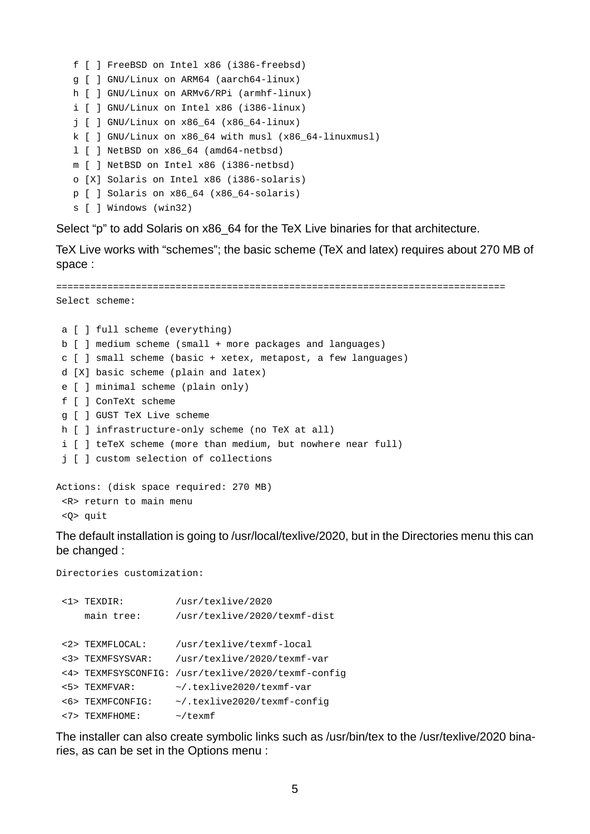```
f [ ] FreeBSD on Intel x86 (i386-freebsd)
g [ ] GNU/Linux on ARM64 (aarch64-linux)
h [ ] GNU/Linux on ARMv6/RPi (armhf-linux)
i \lceil \rceil GNU/Linux on Intel x86 (i386-linux)
j [ ] GNU/Linux on x86_64 (x86_64-linux)
k [ ] GNU/Linux on x86 64 with musl (x86 64-linuxmusl)
1 \mid ] NetBSD on x86\_64 (amd64-netbsd)
m [ ] NetBSD on Intel x86 (i386-netbsd)
o [X] Solaris on Intel x86 (i386-solaris)
p [ ] Solaris on x86_64 (x86_64-solaris)
s [ ] Windows (win32)
```
Select "p" to add Solaris on x86 64 for the TeX Live binaries for that architecture.

TeX Live works with "schemes"; the basic scheme (TeX and latex) requires about 270 MB of space :

```
===============================================================================
Select scheme:
 a [ ] full scheme (everything)
 b [ ] medium scheme (small + more packages and languages)
 c [ ] small scheme (basic + xetex, metapost, a few languages)
 d [X] basic scheme (plain and latex)
 e [ ] minimal scheme (plain only)
 f [ ] ConTeXt scheme
 g [ ] GUST TeX Live scheme
 h \restriction ] infrastructure-only scheme (no TeX at all)
 i [ ] teTeX scheme (more than medium, but nowhere near full)
 j [ ] custom selection of collections
Actions: (disk space required: 270 MB)
 <R> return to main menu
```
<Q> quit

The default installation is going to /usr/local/texlive/2020, but in the Directories menu this can be changed :

Directories customization:

| $<$ 1> TFXDTR:      | /usr/texlive/2020              |
|---------------------|--------------------------------|
| main tree:          | /usr/texlive/2020/texmf-dist   |
|                     |                                |
| <2> TEXMFLOCAL:     | /usr/texlive/texmf-local       |
| <3> TEXMFSYSVAR:    | /usr/texlive/2020/texmf-var    |
| <4> TEXMFSYSCONFIG: | /usr/texlive/2020/texmf-config |
| <5> TEXMFVAR:       | ~/.texlive2020/texmf-var       |
| <6> TEXMFCONFIG:    | ~/.texlive2020/texmf-config    |
| <7> TEXMFHOME:      | ~/texmf                        |

The installer can also create symbolic links such as /usr/bin/tex to the /usr/texlive/2020 binaries, as can be set in the Options menu :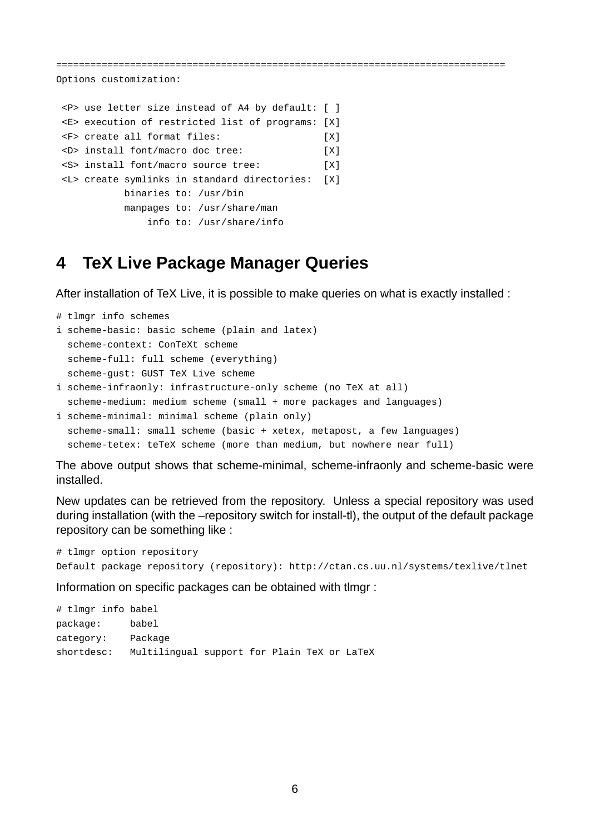===============================================================================

Options customization:

```
<P> use letter size instead of A4 by default: [ ]
<E> execution of restricted list of programs: [X]
<F> create all format files: [X]
<D> install font/macro doc tree: [X]
<S> install font/macro source tree: [X]
<L> create symlinks in standard directories: [X]
          binaries to: /usr/bin
          manpages to: /usr/share/man
             info to: /usr/share/info
```
### <span id="page-5-0"></span>**4 TeX Live Package Manager Queries**

After installation of TeX Live, it is possible to make queries on what is exactly installed :

```
# tlmgr info schemes
i scheme-basic: basic scheme (plain and latex)
  scheme-context: ConTeXt scheme
  scheme-full: full scheme (everything)
  scheme-gust: GUST TeX Live scheme
i scheme-infraonly: infrastructure-only scheme (no TeX at all)
  scheme-medium: medium scheme (small + more packages and languages)
```
i scheme-minimal: minimal scheme (plain only) scheme-small: small scheme (basic + xetex, metapost, a few languages) scheme-tetex: teTeX scheme (more than medium, but nowhere near full)

The above output shows that scheme-minimal, scheme-infraonly and scheme-basic were installed.

New updates can be retrieved from the repository. Unless a special repository was used during installation (with the –repository switch for install-tl), the output of the default package repository can be something like :

```
# tlmgr option repository
Default package repository (repository): http://ctan.cs.uu.nl/systems/texlive/tlnet
```
Information on specific packages can be obtained with tlmgr :

# tlmgr info babel package: babel category: Package shortdesc: Multilingual support for Plain TeX or LaTeX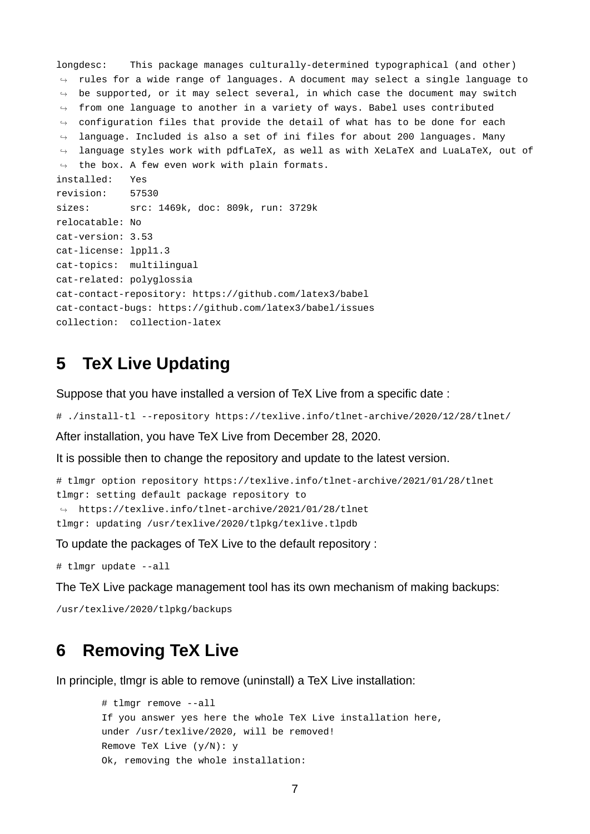longdesc: This package manages culturally-determined typographical (and other)  $\hookrightarrow$  <code>rules</code> for a wide range of languages. A document may select a single language to  $\hookrightarrow$  be supported, or it may select several, in which case the document may switch  $\, \hookrightarrow \,$  from one language to another in a variety of ways. Babel uses contributed  $\, \hookrightarrow \,$  configuration files that provide the detail of what has to be done for each  $\hookrightarrow$  <code>language. Included</code> is also a set of ini files for about 200 languages. Many  $\hookrightarrow$   $\;$  language styles work with pdfLaTeX, as well as with XeLaTeX and LuaLaTeX, out of  $\hookrightarrow$  the box. A few even work with plain formats. installed: Yes revision: 57530 sizes: src: 1469k, doc: 809k, run: 3729k relocatable: No cat-version: 3.53 cat-license: lppl1.3 cat-topics: multilingual cat-related: polyglossia cat-contact-repository: https://github.com/latex3/babel cat-contact-bugs: https://github.com/latex3/babel/issues collection: collection-latex

### **5 TeX Live Updating**

Suppose that you have installed a version of TeX Live from a specific date :

```
# ./install-tl --repository https://texlive.info/tlnet-archive/2020/12/28/tlnet/
```
After installation, you have TeX Live from December 28, 2020.

It is possible then to change the repository and update to the latest version.

```
# tlmgr option repository https://texlive.info/tlnet-archive/2021/01/28/tlnet
tlmgr: setting default package repository to
\rightarrow https://texlive.info/tlnet-archive/2021/01/28/tlnet
tlmgr: updating /usr/texlive/2020/tlpkg/texlive.tlpdb
```
To update the packages of TeX Live to the default repository :

# tlmgr update --all

The TeX Live package management tool has its own mechanism of making backups:

/usr/texlive/2020/tlpkg/backups

#### **6 Removing TeX Live**

In principle, tlmgr is able to remove (uninstall) a TeX Live installation:

```
# tlmgr remove --all
If you answer yes here the whole TeX Live installation here,
under /usr/texlive/2020, will be removed!
Remove TeX Live (y/N): y
Ok, removing the whole installation:
```